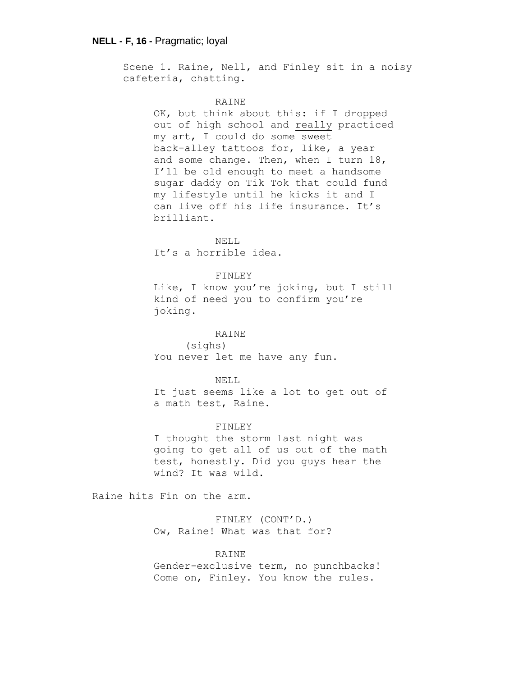Scene 1. Raine, Nell, and Finley sit in a noisy cafeteria, chatting.

#### RAINE

OK, but think about this: if I dropped out of high school and really practiced my art, I could do some sweet back-alley tattoos for, like, a year and some change. Then, when I turn 18, I'll be old enough to meet a handsome sugar daddy on Tik Tok that could fund my lifestyle until he kicks it and I can live off his life insurance. It's brilliant.

NELL It's a horrible idea.

### FINLEY

Like, I know you're joking, but I still kind of need you to confirm you're joking.

## RAINE

(sighs) You never let me have any fun.

#### NELL

It just seems like a lot to get out of a math test, Raine.

### FINLEY

I thought the storm last night was going to get all of us out of the math test, honestly. Did you guys hear the wind? It was wild.

Raine hits Fin on the arm.

FINLEY (CONT'D.) Ow, Raine! What was that for?

## RAINE

Gender-exclusive term, no punchbacks! Come on, Finley. You know the rules.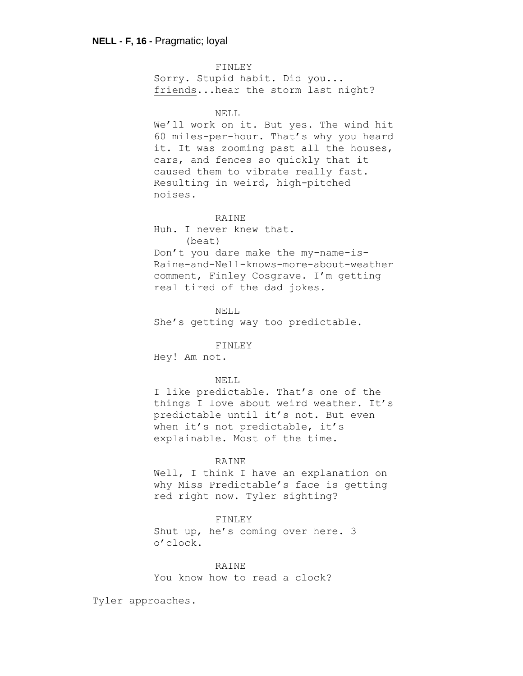FINLEY Sorry. Stupid habit. Did you... friends...hear the storm last night? NELL We'll work on it. But yes. The wind hit 60 miles-per-hour. That's why you heard it. It was zooming past all the houses, cars, and fences so quickly that it caused them to vibrate really fast. Resulting in weird, high-pitched noises. RAINE Huh. I never knew that. (beat) Don't you dare make the my-name-is-Raine-and-Nell-knows-more-about-weather comment, Finley Cosgrave. I'm getting real tired of the dad jokes. NELL She's getting way too predictable. FINLEY Hey! Am not. NELL I like predictable. That's one of the things I love about weird weather. It's predictable until it's not. But even when it's not predictable, it's explainable. Most of the time.

### RAINE

Well, I think I have an explanation on why Miss Predictable's face is getting red right now. Tyler sighting?

#### FINLEY

Shut up, he's coming over here. 3 o'clock.

#### **RAINE**

You know how to read a clock?

Tyler approaches.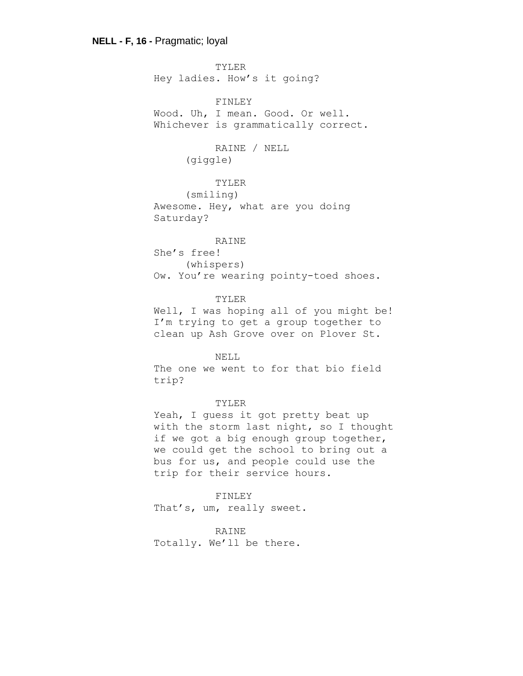TYLER Hey ladies. How's it going?

FINLEY Wood. Uh, I mean. Good. Or well. Whichever is grammatically correct.

# RAINE / NELL (giggle)

# TYLER

(smiling) Awesome. Hey, what are you doing Saturday?

## RAINE

She's free! (whispers) Ow. You're wearing pointy-toed shoes.

#### TYLER

Well, I was hoping all of you might be! I'm trying to get a group together to clean up Ash Grove over on Plover St.

## NELL

The one we went to for that bio field trip?

## TYLER

Yeah, I guess it got pretty beat up with the storm last night, so I thought if we got a big enough group together, we could get the school to bring out a bus for us, and people could use the trip for their service hours.

FINLEY That's, um, really sweet.

### RAINE

Totally. We'll be there.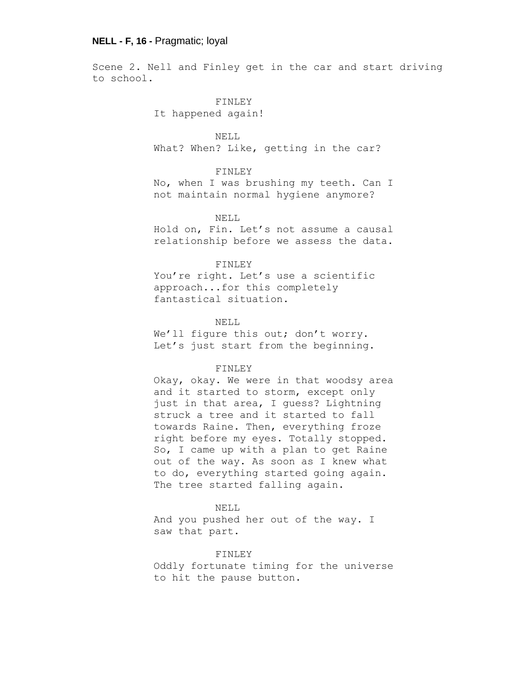Scene 2. Nell and Finley get in the car and start driving to school.

> FINLEY It happened again!

NELL What? When? Like, getting in the car?

## FINLEY

No, when I was brushing my teeth. Can I not maintain normal hygiene anymore?

#### NELL

Hold on, Fin. Let's not assume a causal relationship before we assess the data.

#### FINLEY

You're right. Let's use a scientific approach...for this completely fantastical situation.

NELL

We'll figure this out; don't worry. Let's just start from the beginning.

### FINLEY

Okay, okay. We were in that woodsy area and it started to storm, except only just in that area, I guess? Lightning struck a tree and it started to fall towards Raine. Then, everything froze right before my eyes. Totally stopped. So, I came up with a plan to get Raine out of the way. As soon as I knew what to do, everything started going again. The tree started falling again.

#### NELL

And you pushed her out of the way. I saw that part.

### FINLEY

Oddly fortunate timing for the universe to hit the pause button.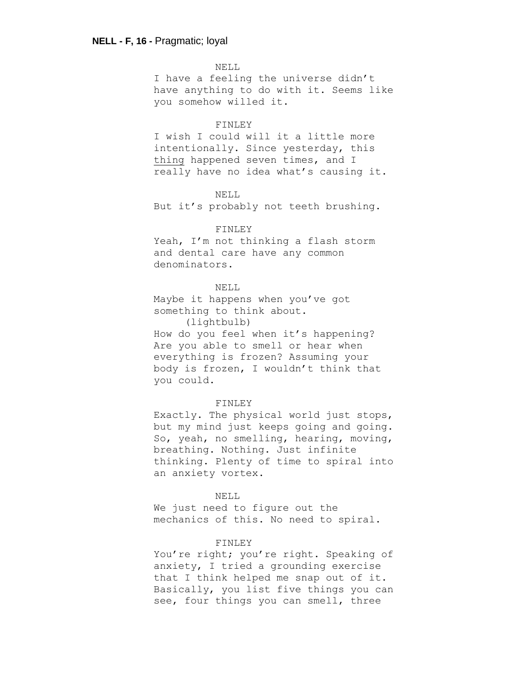NELL I have a feeling the universe didn't have anything to do with it. Seems like you somehow willed it.

#### FINLEY

I wish I could will it a little more intentionally. Since yesterday, this thing happened seven times, and I really have no idea what's causing it.

#### NELL

But it's probably not teeth brushing.

#### FINLEY

Yeah, I'm not thinking a flash storm and dental care have any common denominators.

## NELL

Maybe it happens when you've got something to think about.

(lightbulb)

How do you feel when it's happening? Are you able to smell or hear when everything is frozen? Assuming your body is frozen, I wouldn't think that you could.

## FINLEY

Exactly. The physical world just stops, but my mind just keeps going and going. So, yeah, no smelling, hearing, moving, breathing. Nothing. Just infinite thinking. Plenty of time to spiral into an anxiety vortex.

#### NELL

We just need to figure out the mechanics of this. No need to spiral.

#### FINLEY

You're right; you're right. Speaking of anxiety, I tried a grounding exercise that I think helped me snap out of it. Basically, you list five things you can see, four things you can smell, three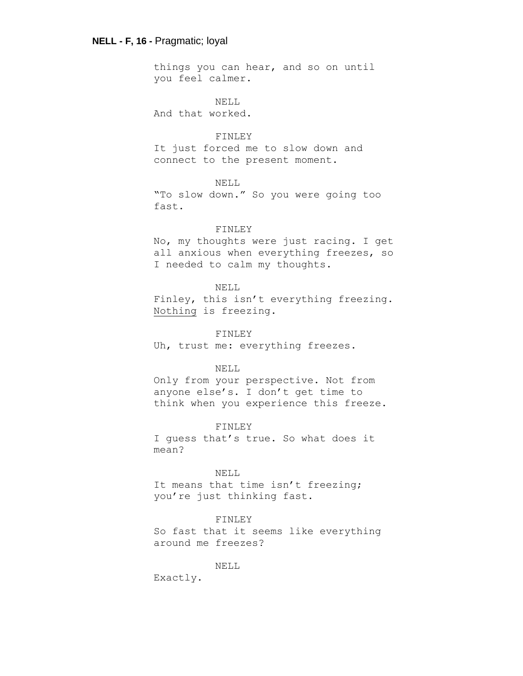things you can hear, and so on until you feel calmer.

NELL And that worked.

## FINLEY

It just forced me to slow down and connect to the present moment.

## NELL

"To slow down." So you were going too fast.

#### FINLEY

No, my thoughts were just racing. I get all anxious when everything freezes, so I needed to calm my thoughts.

### NELL

Finley, this isn't everything freezing. Nothing is freezing.

FINLEY

Uh, trust me: everything freezes.

## NELL

Only from your perspective. Not from anyone else's. I don't get time to think when you experience this freeze.

#### FINLEY

I guess that's true. So what does it mean?

### NELL

It means that time isn't freezing; you're just thinking fast.

### FINLEY

So fast that it seems like everything around me freezes?

# NELL

Exactly.